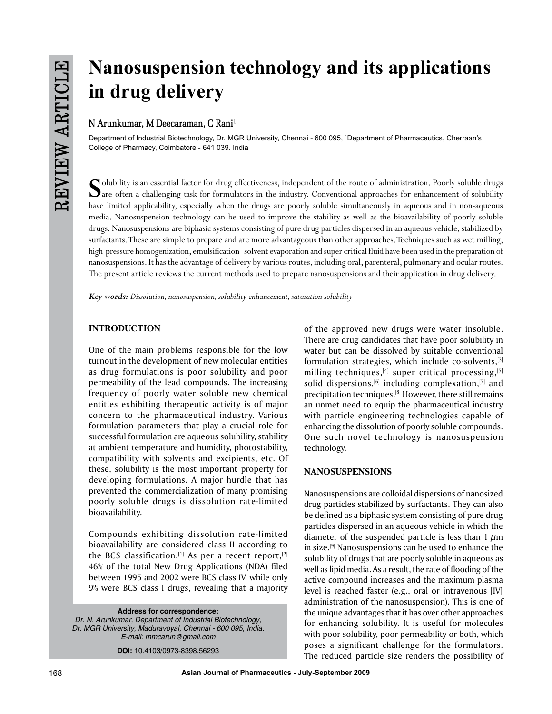# **Nanosuspension technology and its applications in drug delivery**

# **N Arunkumar, M Deecaraman, C Rani1**

Department of Industrial Biotechnology, Dr. MGR University, Chennai - 600 095, 1 Department of Pharmaceutics, Cherraan's College of Pharmacy, Coimbatore - 641 039. India

Solubility is an essential factor for drug effectiveness, independent of the route of administration. Poorly soluble drugs<br>are often a challenging task for formulators in the industry. Conventional approaches for enhanceme have limited applicability, especially when the drugs are poorly soluble simultaneously in aqueous and in non-aqueous media. Nanosuspension technology can be used to improve the stability as well as the bioavailability of poorly soluble drugs. Nanosuspensions are biphasic systems consisting of pure drug particles dispersed in an aqueous vehicle, stabilized by surfactants. These are simple to prepare and are more advantageous than other approaches. Techniques such as wet milling, high-pressure homogenization, emulsification–solvent evaporation and super critical fluid have been used in the preparation of nanosuspensions. It has the advantage of delivery by various routes, including oral, parenteral, pulmonary and ocular routes. The present article reviews the current methods used to prepare nanosuspensions and their application in drug delivery.

*Key words: Dissolution, nanosuspension, solubility enhancement, saturation solubility*

# **INTRODUCTION**

One of the main problems responsible for the low turnout in the development of new molecular entities as drug formulations is poor solubility and poor permeability of the lead compounds. The increasing frequency of poorly water soluble new chemical entities exhibiting therapeutic activity is of major concern to the pharmaceutical industry. Various formulation parameters that play a crucial role for successful formulation are aqueous solubility, stability at ambient temperature and humidity, photostability, compatibility with solvents and excipients, etc. Of these, solubility is the most important property for developing formulations. A major hurdle that has prevented the commercialization of many promising poorly soluble drugs is dissolution rate-limited bioavailability.

Compounds exhibiting dissolution rate-limited bioavailability are considered class II according to the BCS classification.<sup>[1]</sup> As per a recent report,<sup>[2]</sup> 46% of the total New Drug Applications (NDA) filed between 1995 and 2002 were BCS class IV, while only 9% were BCS class I drugs, revealing that a majority

**Address for correspondence:**

*Dr. N. Arunkumar, Department of Industrial Biotechnology, Dr. MGR University, Maduravoyal, Chennai - 600 095, India. E-mail: mmcarun@gmail.com*

**DOI:** 10.4103/0973-8398.56293

of the approved new drugs were water insoluble. There are drug candidates that have poor solubility in water but can be dissolved by suitable conventional formulation strategies, which include co-solvents, $[3]$ milling techniques, $[4]$  super critical processing, $[5]$ solid dispersions,  $[6]$  including complexation,  $[7]$  and precipitation techniques.[8] However, there still remains an unmet need to equip the pharmaceutical industry with particle engineering technologies capable of enhancing the dissolution of poorly soluble compounds. One such novel technology is nanosuspension technology.

# **NANOSUSPENSIONS**

Nanosuspensions are colloidal dispersions of nanosized drug particles stabilized by surfactants. They can also be defined as a biphasic system consisting of pure drug particles dispersed in an aqueous vehicle in which the diameter of the suspended particle is less than 1  $\mu$ m in size.[9] Nanosuspensions can be used to enhance the solubility of drugs that are poorly soluble in aqueous as well as lipid media. As a result, the rate of flooding of the active compound increases and the maximum plasma level is reached faster (e.g., oral or intravenous [IV] administration of the nanosuspension). This is one of the unique advantages that it has over other approaches for enhancing solubility. It is useful for molecules with poor solubility, poor permeability or both, which poses a significant challenge for the formulators. The reduced particle size renders the possibility of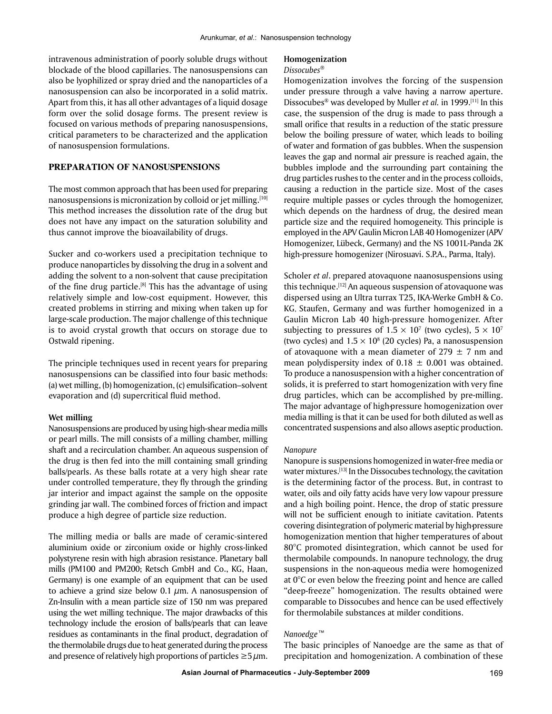intravenous administration of poorly soluble drugs without blockade of the blood capillaries. The nanosuspensions can also be lyophilized or spray dried and the nanoparticles of a nanosuspension can also be incorporated in a solid matrix. Apart from this, it has all other advantages of a liquid dosage form over the solid dosage forms. The present review is focused on various methods of preparing nanosuspensions, critical parameters to be characterized and the application of nanosuspension formulations.

#### **Preparation of Nanosuspensions**

The most common approach that has been used for preparing nanosuspensions is micronization by colloid or jet milling.[10] This method increases the dissolution rate of the drug but does not have any impact on the saturation solubility and thus cannot improve the bioavailability of drugs.

Sucker and co-workers used a precipitation technique to produce nanoparticles by dissolving the drug in a solvent and adding the solvent to a non-solvent that cause precipitation of the fine drug particle.<sup>[8]</sup> This has the advantage of using relatively simple and low-cost equipment. However, this created problems in stirring and mixing when taken up for large-scale production. The major challenge of this technique is to avoid crystal growth that occurs on storage due to Ostwald ripening.

The principle techniques used in recent years for preparing nanosuspensions can be classified into four basic methods: (a) wet milling, (b) homogenization, (c) emulsification–solvent evaporation and (d) supercritical fluid method.

#### **Wet milling**

Nanosuspensions are produced by using high-shear media mills or pearl mills. The mill consists of a milling chamber, milling shaft and a recirculation chamber. An aqueous suspension of the drug is then fed into the mill containing small grinding balls/pearls. As these balls rotate at a very high shear rate under controlled temperature, they fly through the grinding jar interior and impact against the sample on the opposite grinding jar wall. The combined forces of friction and impact produce a high degree of particle size reduction.

The milling media or balls are made of ceramic-sintered aluminium oxide or zirconium oxide or highly cross-linked polystyrene resin with high abrasion resistance. Planetary ball mills (PM100 and PM200; Retsch GmbH and Co., KG, Haan, Germany) is one example of an equipment that can be used to achieve a grind size below 0.1  $\mu$ m. A nanosuspension of Zn-Insulin with a mean particle size of 150 nm was prepared using the wet milling technique. The major drawbacks of this technology include the erosion of balls/pearls that can leave residues as contaminants in the final product, degradation of the thermolabile drugs due to heat generated during the process and presence of relatively high proportions of particles  $\geq 5 \mu m$ .

# **Homogenization**

# *Dissocubes®*

Homogenization involves the forcing of the suspension under pressure through a valve having a narrow aperture. Dissocubes® was developed by Muller *et al.* in 1999.[11] In this case, the suspension of the drug is made to pass through a small orifice that results in a reduction of the static pressure below the boiling pressure of water, which leads to boiling of water and formation of gas bubbles. When the suspension leaves the gap and normal air pressure is reached again, the bubbles implode and the surrounding part containing the drug particles rushes to the center and in the process colloids, causing a reduction in the particle size. Most of the cases require multiple passes or cycles through the homogenizer, which depends on the hardness of drug, the desired mean particle size and the required homogeneity. This principle is employed in the APV Gaulin Micron LAB 40 Homogenizer (APV Homogenizer, Lübeck, Germany) and the NS 1001L-Panda 2K high-pressure homogenizer (Nirosuavi. S.P.A., Parma, Italy).

Scholer *et al*. prepared atovaquone naanosuspensions using this technique.<sup>[12]</sup> An aqueous suspension of atovaquone was dispersed using an Ultra turrax T25, IKA-Werke GmbH & Co. KG, Staufen, Germany and was further homogenized in a Gaulin Micron Lab 40 high-pressure homogenizer. After subjecting to pressures of 1.5  $\times$  10<sup>7</sup> (two cycles), 5  $\times$  10<sup>7</sup> (two cycles) and  $1.5 \times 10^8$  (20 cycles) Pa, a nanosuspension of atovaquone with a mean diameter of  $279 \pm 7$  nm and mean polydispersity index of  $0.18 \pm 0.001$  was obtained. To produce a nanosuspension with a higher concentration of solids, it is preferred to start homogenization with very fine drug particles, which can be accomplished by pre-milling. The major advantage of high-pressure homogenization over media milling is that it can be used for both diluted as well as concentrated suspensions and also allows aseptic production.

#### *Nanopure*

Nanopure is suspensions homogenized in water-free media or water mixtures.<sup>[13]</sup> In the Dissocubes technology, the cavitation is the determining factor of the process. But, in contrast to water, oils and oily fatty acids have very low vapour pressure and a high boiling point. Hence, the drop of static pressure will not be sufficient enough to initiate cavitation. Patents covering disintegration of polymeric material by high-pressure homogenization mention that higher temperatures of about 80°C promoted disintegration, which cannot be used for thermolabile compounds. In nanopure technology, the drug suspensions in the non-aqueous media were homogenized at 0°C or even below the freezing point and hence are called "deep-freeze" homogenization. The results obtained were comparable to Dissocubes and hence can be used effectively for thermolabile substances at milder conditions.

# *Nanoedge™*

The basic principles of Nanoedge are the same as that of precipitation and homogenization. A combination of these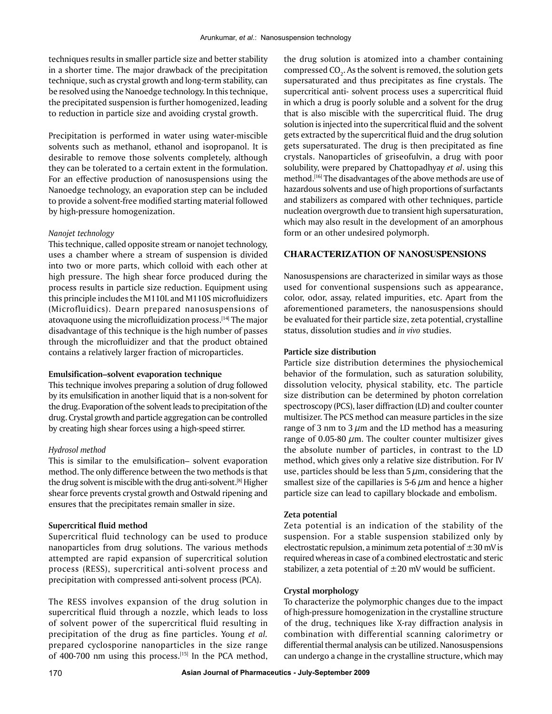techniques results in smaller particle size and better stability in a shorter time. The major drawback of the precipitation technique, such as crystal growth and long-term stability, can be resolved using the Nanoedge technology. In this technique, the precipitated suspension is further homogenized, leading to reduction in particle size and avoiding crystal growth.

Precipitation is performed in water using water-miscible solvents such as methanol, ethanol and isopropanol. It is desirable to remove those solvents completely, although they can be tolerated to a certain extent in the formulation. For an effective production of nanosuspensions using the Nanoedge technology, an evaporation step can be included to provide a solvent-free modified starting material followed by high-pressure homogenization.

## *Nanojet technology*

This technique, called opposite stream or nanojet technology, uses a chamber where a stream of suspension is divided into two or more parts, which colloid with each other at high pressure. The high shear force produced during the process results in particle size reduction. Equipment using this principle includes the M110L and M110S microfluidizers (Microfluidics). Dearn prepared nanosuspensions of atovaquone using the microfluidization process.<sup>[14]</sup> The major disadvantage of this technique is the high number of passes through the microfluidizer and that the product obtained contains a relatively larger fraction of microparticles.

#### **Emulsification–solvent evaporation technique**

This technique involves preparing a solution of drug followed by its emulsification in another liquid that is a non-solvent for the drug. Evaporation of the solvent leads to precipitation of the drug. Crystal growth and particle aggregation can be controlled by creating high shear forces using a high-speed stirrer.

# *Hydrosol method*

This is similar to the emulsification– solvent evaporation method. The only difference between the two methods is that the drug solvent is miscible with the drug anti-solvent.[8] Higher shear force prevents crystal growth and Ostwald ripening and ensures that the precipitates remain smaller in size.

## **Supercritical fluid method**

Supercritical fluid technology can be used to produce nanoparticles from drug solutions. The various methods attempted are rapid expansion of supercritical solution process (RESS), supercritical anti-solvent process and precipitation with compressed anti-solvent process (PCA).

The RESS involves expansion of the drug solution in supercritical fluid through a nozzle, which leads to loss of solvent power of the supercritical fluid resulting in precipitation of the drug as fine particles. Young *et al.* prepared cyclosporine nanoparticles in the size range of 400-700 nm using this process.<sup>[15]</sup> In the PCA method,

the drug solution is atomized into a chamber containing compressed CO<sub>2</sub>. As the solvent is removed, the solution gets supersaturated and thus precipitates as fine crystals. The supercritical anti- solvent process uses a supercritical fluid in which a drug is poorly soluble and a solvent for the drug that is also miscible with the supercritical fluid. The drug solution is injected into the supercritical fluid and the solvent gets extracted by the supercritical fluid and the drug solution gets supersaturated. The drug is then precipitated as fine crystals. Nanoparticles of griseofulvin, a drug with poor solubility, were prepared by Chattopadhyay *et al*. using this method.<sup>[16]</sup> The disadvantages of the above methods are use of hazardous solvents and use of high proportions of surfactants and stabilizers as compared with other techniques, particle nucleation overgrowth due to transient high supersaturation, which may also result in the development of an amorphous form or an other undesired polymorph.

# **Characterization of Nanosuspensions**

Nanosuspensions are characterized in similar ways as those used for conventional suspensions such as appearance, color, odor, assay, related impurities, etc. Apart from the aforementioned parameters, the nanosuspensions should be evaluated for their particle size, zeta potential, crystalline status, dissolution studies and *in vivo* studies.

#### **Particle size distribution**

Particle size distribution determines the physiochemical behavior of the formulation, such as saturation solubility, dissolution velocity, physical stability, etc. The particle size distribution can be determined by photon correlation spectroscopy (PCS), laser diffraction (LD) and coulter counter multisizer. The PCS method can measure particles in the size range of 3 nm to 3  $\mu$ m and the LD method has a measuring range of 0.05-80  $\mu$ m. The coulter counter multisizer gives the absolute number of particles, in contrast to the LD method, which gives only a relative size distribution. For IV use, particles should be less than  $5 \mu m$ , considering that the smallest size of the capillaries is 5-6  $\mu$ m and hence a higher particle size can lead to capillary blockade and embolism.

#### **Zeta potential**

Zeta potential is an indication of the stability of the suspension. For a stable suspension stabilized only by electrostatic repulsion, a minimum zeta potential of  $\pm 30$  mV is required whereas in case of a combined electrostatic and steric stabilizer, a zeta potential of  $\pm 20$  mV would be sufficient.

# **Crystal morphology**

To characterize the polymorphic changes due to the impact of high-pressure homogenization in the crystalline structure of the drug, techniques like X-ray diffraction analysis in combination with differential scanning calorimetry or differential thermal analysis can be utilized. Nanosuspensions can undergo a change in the crystalline structure, which may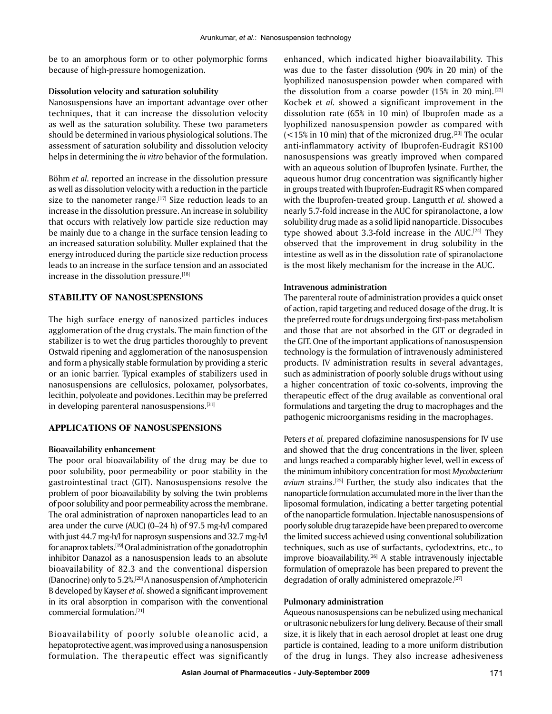be to an amorphous form or to other polymorphic forms because of high-pressure homogenization.

## **Dissolution velocity and saturation solubility**

Nanosuspensions have an important advantage over other techniques, that it can increase the dissolution velocity as well as the saturation solubility. These two parameters should be determined in various physiological solutions. The assessment of saturation solubility and dissolution velocity helps in determining the *in vitro* behavior of the formulation.

Böhm *et al.* reported an increase in the dissolution pressure as well as dissolution velocity with a reduction in the particle size to the nanometer range.<sup>[17]</sup> Size reduction leads to an increase in the dissolution pressure. An increase in solubility that occurs with relatively low particle size reduction may be mainly due to a change in the surface tension leading to an increased saturation solubility. Muller explained that the energy introduced during the particle size reduction process leads to an increase in the surface tension and an associated increase in the dissolution pressure.<sup>[18]</sup>

# **STABILITY OF NANOSUSPENSIONS**

The high surface energy of nanosized particles induces agglomeration of the drug crystals. The main function of the stabilizer is to wet the drug particles thoroughly to prevent Ostwald ripening and agglomeration of the nanosuspension and form a physically stable formulation by providing a steric or an ionic barrier. Typical examples of stabilizers used in nanosuspensions are cellulosics, poloxamer, polysorbates, lecithin, polyoleate and povidones. Lecithin may be preferred in developing parenteral nanosuspensions.<sup>[31]</sup>

# **Applications of Nanosuspensions**

## **Bioavailability enhancement**

The poor oral bioavailability of the drug may be due to poor solubility, poor permeability or poor stability in the gastrointestinal tract (GIT). Nanosuspensions resolve the problem of poor bioavailability by solving the twin problems of poor solubility and poor permeability across the membrane. The oral administration of naproxen nanoparticles lead to an area under the curve (AUC) (0–24 h) of 97.5 mg-h/l compared with just 44.7 mg-h/l for naprosyn suspensions and 32.7 mg-h/l for anaprox tablets.[19] Oral administration of the gonadotrophin inhibitor Danazol as a nanosuspension leads to an absolute bioavailability of 82.3 and the conventional dispersion (Danocrine) only to 5.2%.[20] A nanosuspension of Amphotericin B developed by Kayser *et al.* showed a significant improvement in its oral absorption in comparison with the conventional commercial formulation.[21]

Bioavailability of poorly soluble oleanolic acid, a hepatoprotective agent, was improved using a nanosuspension formulation. The therapeutic effect was significantly enhanced, which indicated higher bioavailability. This was due to the faster dissolution (90% in 20 min) of the lyophilized nanosuspension powder when compared with the dissolution from a coarse powder  $(15\% \text{ in } 20 \text{ min}).$ <sup>[22]</sup> Kocbek *et al.* showed a significant improvement in the dissolution rate (65% in 10 min) of Ibuprofen made as a lyophilized nanosuspension powder as compared with  $\left($  < 15% in 10 min) that of the micronized drug.<sup>[23]</sup> The ocular anti-inflammatory activity of Ibuprofen-Eudragit RS100 nanosuspensions was greatly improved when compared with an aqueous solution of Ibuprofen lysinate. Further, the aqueous humor drug concentration was significantly higher in groups treated with Ibuprofen-Eudragit RS when compared with the Ibuprofen-treated group. Langutth *et al.* showed a nearly 5.7-fold increase in the AUC for spiranolactone, a low solubility drug made as a solid lipid nanoparticle. Dissocubes type showed about 3.3-fold increase in the AUC. $[24]$  They observed that the improvement in drug solubility in the intestine as well as in the dissolution rate of spiranolactone is the most likely mechanism for the increase in the AUC.

## **Intravenous administration**

The parenteral route of administration provides a quick onset of action, rapid targeting and reduced dosage of the drug. It is the preferred route for drugs undergoing first-pass metabolism and those that are not absorbed in the GIT or degraded in the GIT. One of the important applications of nanosuspension technology is the formulation of intravenously administered products. IV administration results in several advantages, such as administration of poorly soluble drugs without using a higher concentration of toxic co-solvents, improving the therapeutic effect of the drug available as conventional oral formulations and targeting the drug to macrophages and the pathogenic microorganisms residing in the macrophages.

Peters *et al.* prepared clofazimine nanosuspensions for IV use and showed that the drug concentrations in the liver, spleen and lungs reached a comparably higher level, well in excess of the minimum inhibitory concentration for most *Mycobacterium avium* strains.[25] Further, the study also indicates that the nanoparticle formulation accumulated more in the liver than the liposomal formulation, indicating a better targeting potential of the nanoparticle formulation. Injectable nanosuspensions of poorly soluble drug tarazepide have been prepared to overcome the limited success achieved using conventional solubilization techniques, such as use of surfactants, cyclodextrins, etc., to improve bioavailability.<sup>[26]</sup> A stable intravenously injectable formulation of omeprazole has been prepared to prevent the degradation of orally administered omeprazole.<sup>[27]</sup>

#### **Pulmonary administration**

Aqueous nanosuspensions can be nebulized using mechanical or ultrasonic nebulizers for lung delivery. Because of their small size, it is likely that in each aerosol droplet at least one drug particle is contained, leading to a more uniform distribution of the drug in lungs. They also increase adhesiveness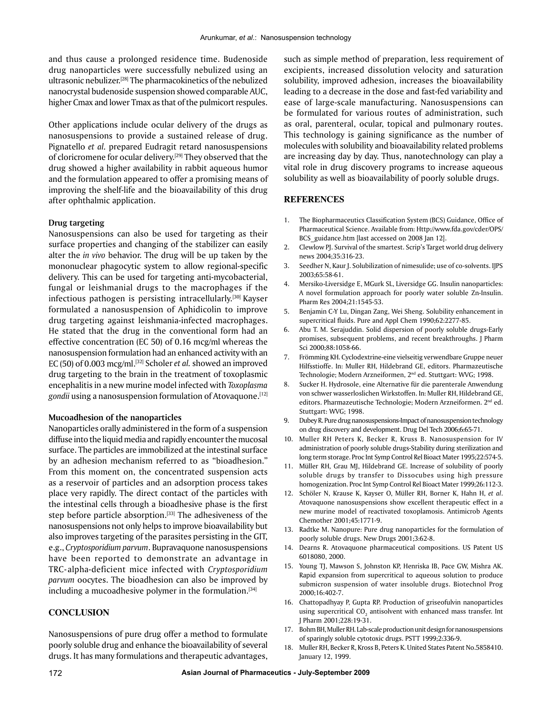and thus cause a prolonged residence time. Budenoside drug nanoparticles were successfully nebulized using an ultrasonic nebulizer.[28] The pharmacokinetics of the nebulized nanocrystal budenoside suspension showed comparable AUC, higher Cmax and lower Tmax as that of the pulmicort respules.

Other applications include ocular delivery of the drugs as nanosuspensions to provide a sustained release of drug. Pignatello *et al.* prepared Eudragit retard nanosuspensions of cloricromene for ocular delivery.<sup>[29]</sup> They observed that the drug showed a higher availability in rabbit aqueous humor and the formulation appeared to offer a promising means of improving the shelf-life and the bioavailability of this drug after ophthalmic application.

# **Drug targeting**

Nanosuspensions can also be used for targeting as their surface properties and changing of the stabilizer can easily alter the *in vivo* behavior. The drug will be up taken by the mononuclear phagocytic system to allow regional-specific delivery. This can be used for targeting anti-mycobacterial, fungal or leishmanial drugs to the macrophages if the infectious pathogen is persisting intracellularly.[30] Kayser formulated a nanosuspension of Aphidicolin to improve drug targeting against leishmania-infected macrophages. He stated that the drug in the conventional form had an effective concentration (EC 50) of 0.16 mcg/ml whereas the nanosuspension formulation had an enhanced activity with an EC (50) of 0.003 mcg/ml.[32] Scholer *et al.* showed an improved drug targeting to the brain in the treatment of toxoplasmic encephalitis in a new murine model infected with *Toxoplasma*  gondii using a nanosuspension formulation of Atovaquone.<sup>[12]</sup>

#### **Mucoadhesion of the nanoparticles**

Nanoparticles orally administered in the form of a suspension diffuse into the liquid media and rapidly encounter the mucosal surface. The particles are immobilized at the intestinal surface by an adhesion mechanism referred to as "bioadhesion." From this moment on, the concentrated suspension acts as a reservoir of particles and an adsorption process takes place very rapidly. The direct contact of the particles with the intestinal cells through a bioadhesive phase is the first step before particle absorption.<sup>[33]</sup> The adhesiveness of the nanosuspensions not only helps to improve bioavailability but also improves targeting of the parasites persisting in the GIT, e.g., *Cryptosporidium parvum*. Bupravaquone nanosuspensions have been reported to demonstrate an advantage in TRC- alpha-deficient mice infected with *Cryptosporidium parvum* oocytes. The bioadhesion can also be improved by including a mucoadhesive polymer in the formulation. $[34]$ 

# **CONCLUSION**

Nanosuspensions of pure drug offer a method to formulate poorly soluble drug and enhance the bioavailability of several drugs. It has many formulations and therapeutic advantages, such as simple method of preparation, less requirement of excipients, increased dissolution velocity and saturation solubility, improved adhesion, increases the bioavailability leading to a decrease in the dose and fast-fed variability and ease of large-scale manufacturing. Nanosuspensions can be formulated for various routes of administration, such as oral, parenteral, ocular, topical and pulmonary routes. This technology is gaining significance as the number of molecules with solubility and bioavailability related problems are increasing day by day. Thus, nanotechnology can play a vital role in drug discovery programs to increase aqueous solubility as well as bioavailability of poorly soluble drugs.

## **REFERENCES**

- 1. The Biopharmaceutics Classification System (BCS) Guidance, Office of Pharmaceutical Science. Available from: http://www.fda.gov/cder/OPS/ BCS guidance.htm [last accessed on 2008 Jan 12].
- 2. Clewlow PJ. Survival of the smartest. Scrip's Target world drug delivery news 2004;35:316-23.
- 3. Seedher N, Kaur J. Solubilization of nimesulide; use of co-solvents. IJPS 2003;65:58-61.
- 4. Mersiko-Liversidge E, MGurk SL, Liversidge GG. Insulin nanoparticles: A novel formulation approach for poorly water soluble Zn-Insulin. Pharm Res 2004;21:1545-53.
- 5. Benjamin C-Y Lu, Dingan Zang, Wei Sheng. Solubility enhancement in supercritical fluids. Pure and Appl Chem 1990;62:2277-85.
- 6. Abu T. M. Serajuddin. Solid dispersion of poorly soluble drugs-Early promises, subsequent problems, and recent breakthroughs. J Pharm Sci 2000;88:1058-66.
- 7. Frömming KH. Cyclodextrine-eine vielseitig verwendbare Gruppe neuer Hilfsstioffe. In: Muller RH, Hildebrand GE, editors. Pharmazeutische Technologie; Modern Arzneiformen, 2nd ed. Stuttgart: WVG; 1998.
- 8. Sucker H. Hydrosole, eine Alternative für die parenterale Anwendung von schwer wasserloslichen Wirkstoffen. In: Muller RH, Hildebrand GE, editors. Pharmazeutische Technologie; Modern Arzneiformen. 2nd ed. Stuttgart: WVG; 1998.
- 9. Dubey R. Pure drug nanosuspensions-Impact of nanosuspension technology on drug discovery and development. Drug Del Tech 2006;6:65-71.
- 10. Muller RH Peters K, Becker R, Kruss B. Nanosuspension for IV administration of poorly soluble drugs-Stability during sterilization and long term storage. Proc Int Symp Control Rel Bioact Mater 1995;22:574-5.
- 11. Müller RH, Grau MJ, Hildebrand GE. Increase of solubility of poorly soluble drugs by transfer to Dissocubes using high pressure homogenization. Proc Int Symp Control Rel Bioact Mater 1999;26:112-3.
- 12. Schöler N, Krause K, Kayser O, Müller RH, Borner K, Hahn H, *et al*. Atovaquone nanosuspensions show excellent therapeutic effect in a new murine model of reactivated toxoplamosis. Antimicrob Agents Chemother 2001;45:1771-9.
- 13. Radtke M. Nanopure: pure drug nanoparticles for the formulation of poorly soluble drugs. New Drugs 2001;3:62-8.
- 14. Dearns R. Atovaquone pharmaceutical compositions. US Patent US 6018080, 2000.
- 15. Young TJ, Mawson S, Johnston KP, Henriska IB, Pace GW, Mishra AK. Rapid expansion from supercritical to aqueous solution to produce submicron suspension of water insoluble drugs. Biotechnol Prog 2000;16:402-7.
- 16. Chattopadhyay P, Gupta RP. Production of griseofulvin nanoparticles using supercritical CO $_{\tiny 2}$  antisolvent with enhanced mass transfer. Int J Pharm 2001;228:19-31.
- 17. Bohm BH, Muller RH. Lab-scale production unit design for nanosuspensions of sparingly soluble cytotoxic drugs. PSTT 1999;2:336-9.
- 18. Muller RH, Becker R, Kross B, Peters K. United States Patent No.5858410. January 12, 1999.